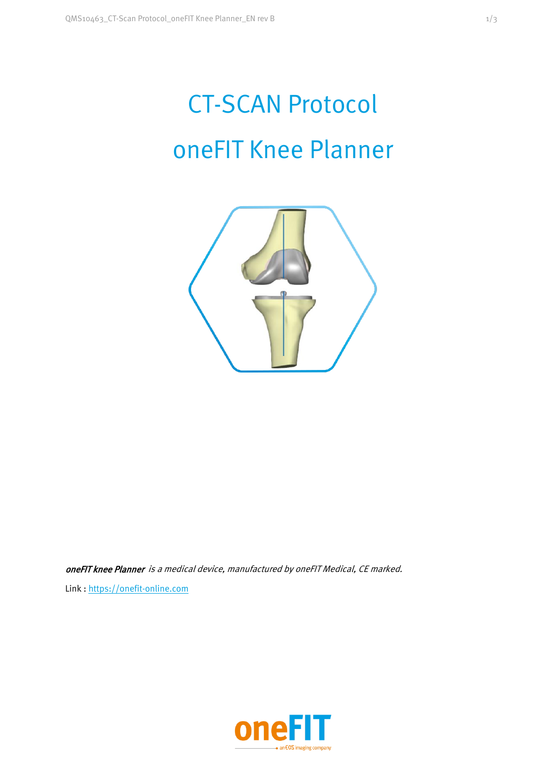# CT-SCAN Protocol oneFIT Knee Planner



oneFIT knee Planner is a medical device, manufactured by oneFIT Medical, CE marked. Link : https://onefit-online.com

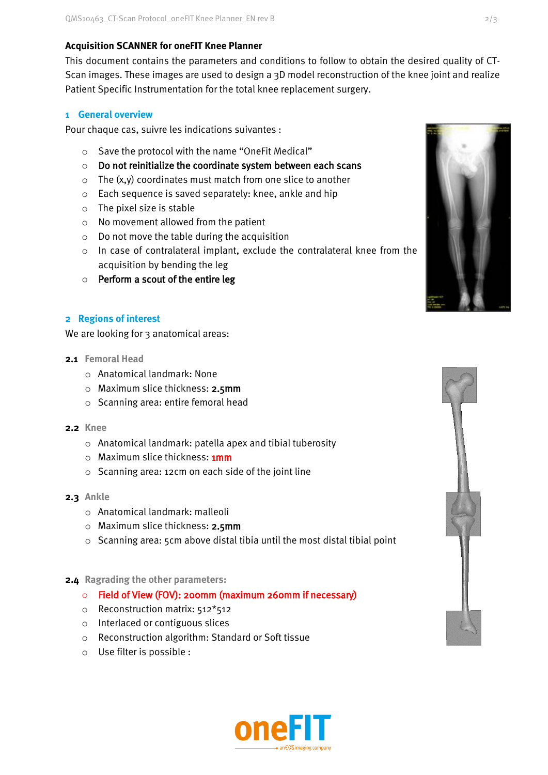# **Acquisition SCANNER for oneFIT Knee Planner**

This document contains the parameters and conditions to follow to obtain the desired quality of CT-Scan images. These images are used to design a 3D model reconstruction of the knee joint and realize Patient Specific Instrumentation for the total knee replacement surgery.

#### **1 General overview**

Pour chaque cas, suivre les indications suivantes :

- o Save the protocol with the name "OneFit Medical"
- o Do not reinitialize the coordinate system between each scans
- o The (x,y) coordinates must match from one slice to another
- o Each sequence is saved separately: knee, ankle and hip
- o The pixel size is stable
- o No movement allowed from the patient
- o Do not move the table during the acquisition
- o In case of contralateral implant, exclude the contralateral knee from the acquisition by bending the leg
- $\circ$  Perform a scout of the entire leg

# **2 Regions of interest**

We are looking for 3 anatomical areas:

- **2.1 Femoral Head**
	- o Anatomical landmark: None
	- o Maximum slice thickness: 2.5mm
	- o Scanning area: entire femoral head
- **2.2 Knee**
	- o Anatomical landmark: patella apex and tibial tuberosity
	- o Maximum slice thickness: **1mm**
	- o Scanning area: 12cm on each side of the joint line
- **2.3 Ankle**
	- o Anatomical landmark: malleoli
	- o Maximum slice thickness: 2.5mm
	- o Scanning area: 5cm above distal tibia until the most distal tibial point

## **2.4 Ragrading the other parameters:**

#### o Field of View (FOV): 200mm (maximum 260mm if necessary)

- o Reconstruction matrix: 512\*512
- o Interlaced or contiguous slices
- o Reconstruction algorithm: Standard or Soft tissue
- o Use filter is possible :